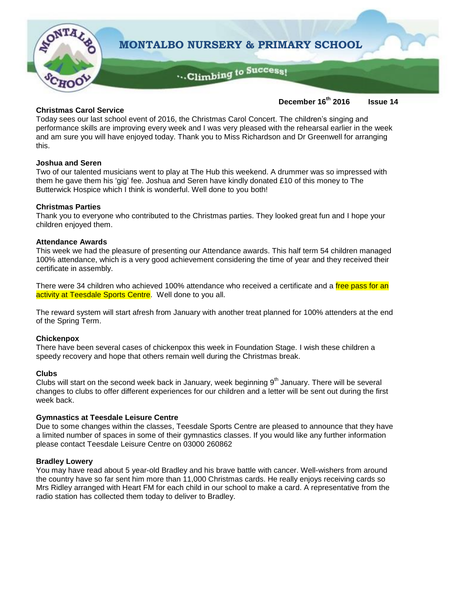

## **Christmas Carol Service**

**December 16th 2016 Issue 14**

Today sees our last school event of 2016, the Christmas Carol Concert. The children's singing and performance skills are improving every week and I was very pleased with the rehearsal earlier in the week and am sure you will have enjoyed today. Thank you to Miss Richardson and Dr Greenwell for arranging this.

## **Joshua and Seren**

Two of our talented musicians went to play at The Hub this weekend. A drummer was so impressed with them he gave them his 'gig' fee. Joshua and Seren have kindly donated £10 of this money to The Butterwick Hospice which I think is wonderful. Well done to you both!

#### **Christmas Parties**

Thank you to everyone who contributed to the Christmas parties. They looked great fun and I hope your children enjoyed them.

#### **Attendance Awards**

This week we had the pleasure of presenting our Attendance awards. This half term 54 children managed 100% attendance, which is a very good achievement considering the time of year and they received their certificate in assembly.

There were 34 children who achieved 100% attendance who received a certificate and a free pass for an activity at Teesdale Sports Centre. Well done to you all.

The reward system will start afresh from January with another treat planned for 100% attenders at the end of the Spring Term.

#### **Chickenpox**

There have been several cases of chickenpox this week in Foundation Stage. I wish these children a speedy recovery and hope that others remain well during the Christmas break.

#### **Clubs**

Clubs will start on the second week back in January, week beginning 9<sup>th</sup> January. There will be several changes to clubs to offer different experiences for our children and a letter will be sent out during the first week back.

#### **Gymnastics at Teesdale Leisure Centre**

Due to some changes within the classes, Teesdale Sports Centre are pleased to announce that they have a limited number of spaces in some of their gymnastics classes. If you would like any further information please contact Teesdale Leisure Centre on 03000 260862

#### **Bradley Lowery**

You may have read about 5 year-old Bradley and his brave battle with cancer. Well-wishers from around the country have so far sent him more than 11,000 Christmas cards. He really enjoys receiving cards so Mrs Ridley arranged with Heart FM for each child in our school to make a card. A representative from the radio station has collected them today to deliver to Bradley.